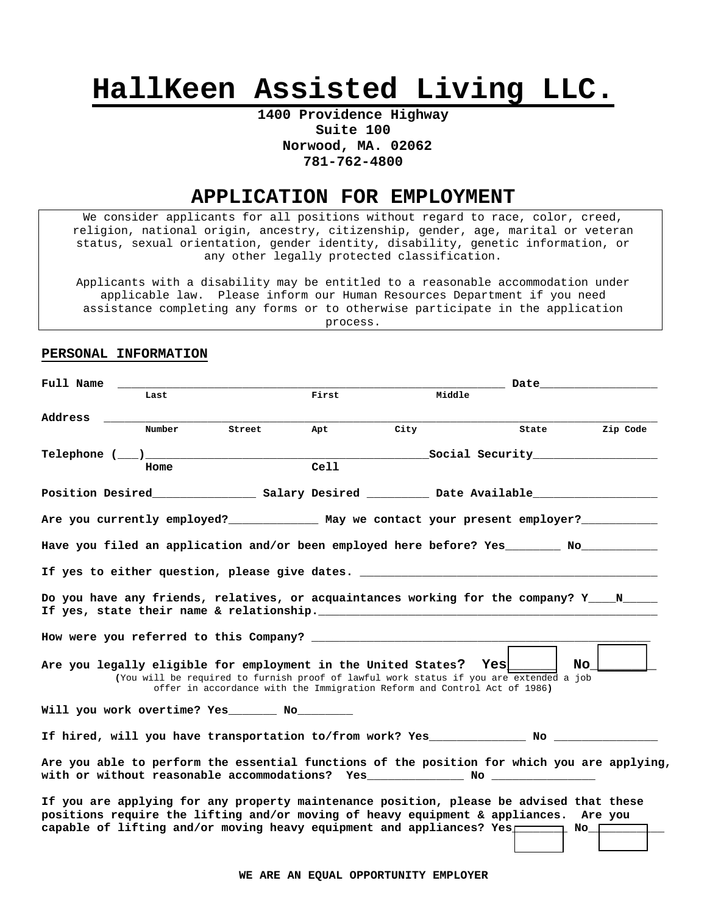# HallKeen Assisted Living LLC.

### 1400 Providence Highway Suite 100 Norwood, MA. 02062 781-762-4800

## APPLICATION FOR EMPLOYMENT

We consider applicants for all positions without regard to race, color, creed, religion, national origin, ancestry, citizenship, gender, age, marital or veteran status, sexual orientation, gender identity, disability, genetic information, or any other legally protected classification.

Applicants with a disability may be entitled to a reasonable accommodation under applicable law. Please inform our Human Resources Department if you need assistance completing any forms or to otherwise participate in the application process.

#### PERSONAL INFORMATION

| Full Name |        |                                                                                                                                                                                                                                                                                                                            |       |      |        | Date and the set of the set of the set of the set of the set of the set of the set of the set of the set of the |          |
|-----------|--------|----------------------------------------------------------------------------------------------------------------------------------------------------------------------------------------------------------------------------------------------------------------------------------------------------------------------------|-------|------|--------|-----------------------------------------------------------------------------------------------------------------|----------|
|           | Last   |                                                                                                                                                                                                                                                                                                                            | First |      | Middle |                                                                                                                 |          |
| Address   | Number | Street                                                                                                                                                                                                                                                                                                                     | Apt   | City |        | State                                                                                                           | Zip Code |
|           |        |                                                                                                                                                                                                                                                                                                                            |       |      |        |                                                                                                                 |          |
|           |        |                                                                                                                                                                                                                                                                                                                            |       |      |        |                                                                                                                 |          |
|           | Home   |                                                                                                                                                                                                                                                                                                                            | Cell  |      |        |                                                                                                                 |          |
|           |        |                                                                                                                                                                                                                                                                                                                            |       |      |        |                                                                                                                 |          |
|           |        | Are you currently employed?______________ May we contact your present employer?____________                                                                                                                                                                                                                                |       |      |        |                                                                                                                 |          |
|           |        | Have you filed an application and/or been employed here before? Yes _________ No ____________                                                                                                                                                                                                                              |       |      |        |                                                                                                                 |          |
|           |        | If yes to either question, please give dates.                                                                                                                                                                                                                                                                              |       |      |        |                                                                                                                 |          |
|           |        | Do you have any friends, relatives, or acquaintances working for the company? Y____N_____<br>If yes, state their name & relationship. The manuscription of the state of the state of the state of the state of the state of the state of the state of the state of the state of the state of the state of the state of the |       |      |        |                                                                                                                 |          |
|           |        |                                                                                                                                                                                                                                                                                                                            |       |      |        |                                                                                                                 |          |
|           |        | Are you legally eligible for employment in the United States? Yes and the View of the United States?<br>(You will be required to furnish proof of lawful work status if you are extended a job<br>offer in accordance with the Immigration Reform and Control Act of 1986)                                                 |       |      |        |                                                                                                                 | No I     |
|           |        | Will you work overtime? Yes ________ No_________                                                                                                                                                                                                                                                                           |       |      |        |                                                                                                                 |          |
|           |        |                                                                                                                                                                                                                                                                                                                            |       |      |        |                                                                                                                 |          |
|           |        | Are you able to perform the essential functions of the position for which you are applying<br>with or without reasonable accommodations? Yes _________________________________                                                                                                                                             |       |      |        |                                                                                                                 |          |
|           |        | If you are applying for any property maintenance position, please be advised that these<br>positions require the lifting and/or moving of heavy equipment & appliances. Are you<br>capable of lifting and/or moving heavy equipment and appliances? Yes $\square$ No                                                       |       |      |        |                                                                                                                 |          |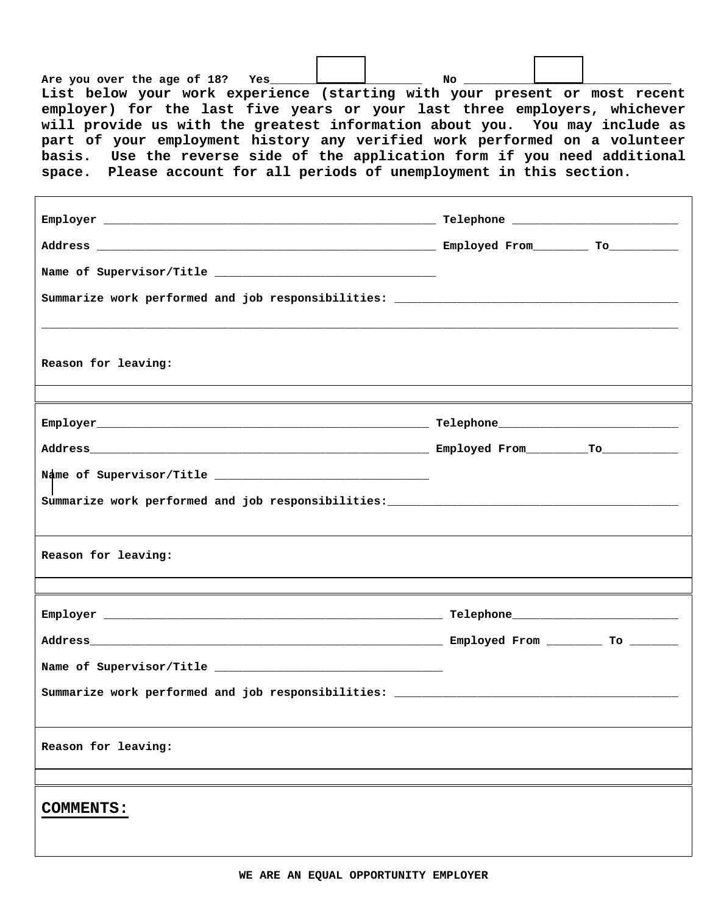| Are you over the age of 18? Yes                                             | No |  |
|-----------------------------------------------------------------------------|----|--|
|                                                                             |    |  |
| List below your work experience (starting with your present or most recent  |    |  |
| employer) for the last five years or your last three employers, whichever   |    |  |
| will provide us with the greatest information about you. You may include as |    |  |
| part of your employment history any verified work performed on a volunteer  |    |  |
| basis. Use the reverse side of the application form if you need additional  |    |  |
| space. Please account for all periods of unemployment in this section.      |    |  |

| Reason for leaving:                                                              |  |
|----------------------------------------------------------------------------------|--|
|                                                                                  |  |
|                                                                                  |  |
|                                                                                  |  |
|                                                                                  |  |
| Summarize work performed and job responsibilities: _____________________________ |  |
|                                                                                  |  |
| Reason for leaving:                                                              |  |
| ,我们也不会有什么?""我们的人,我们也不会不会不会。""我们的人,我们也不会不会不会不会。""我们的人,我们也不会不会不会不会。""我们的人,我们也不会不会不 |  |
|                                                                                  |  |
|                                                                                  |  |
|                                                                                  |  |
| Summarize work performed and job responsibilities: _____________________________ |  |
|                                                                                  |  |
| Reason for leaving:                                                              |  |
|                                                                                  |  |
|                                                                                  |  |
| <b>COMMENTS:</b>                                                                 |  |
|                                                                                  |  |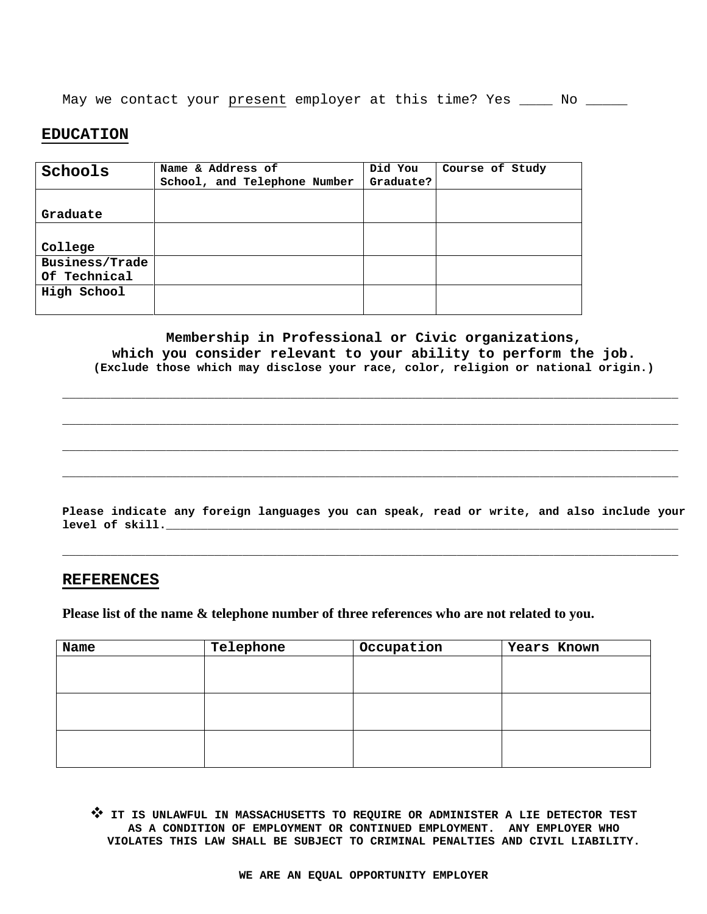May we contact your present employer at this time? Yes \_\_\_\_\_ No \_\_\_\_\_\_

#### **EDUCATION**

| Schools        | Name & Address of<br>School, and Telephone Number | Did You<br>Graduate? | Course of Study |
|----------------|---------------------------------------------------|----------------------|-----------------|
|                |                                                   |                      |                 |
| Graduate       |                                                   |                      |                 |
|                |                                                   |                      |                 |
| College        |                                                   |                      |                 |
| Business/Trade |                                                   |                      |                 |
| Of Technical   |                                                   |                      |                 |
| High School    |                                                   |                      |                 |
|                |                                                   |                      |                 |

Membership in Professional or Civic organizations, which you consider relevant to your ability to perform the job. (Exclude those which may disclose your race, color, religion or national origin.)

Please indicate any foreign languages you can speak, read or write, and also include your level of skill.

#### **REFERENCES**

Please list of the name & telephone number of three references who are not related to you.

| Name | Telephone | Occupation | Years Known |
|------|-----------|------------|-------------|
|      |           |            |             |
|      |           |            |             |
|      |           |            |             |
|      |           |            |             |
|      |           |            |             |
|      |           |            |             |

TT IS UNLAWFUL IN MASSACHUSETTS TO REQUIRE OR ADMINISTER A LIE DETECTOR TEST AS A CONDITION OF EMPLOYMENT OR CONTINUED EMPLOYMENT. ANY EMPLOYER WHO VIOLATES THIS LAW SHALL BE SUBJECT TO CRIMINAL PENALTIES AND CIVIL LIABILITY.